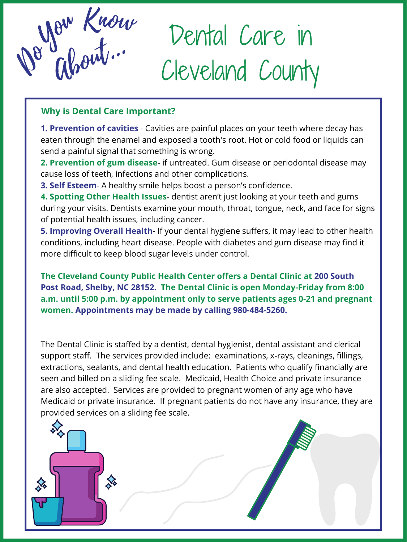Ab out... De Glorit.

Dental Care in Cleveland County

**1. Prevention of cavities** - Cavities are painful places on your teeth where decay has eaten through the enamel and exposed a tooth's root. Hot or cold food or liquids can send a painful signal that something is wrong.

**2. Prevention of gum disease**- if untreated. Gum disease or periodontal disease may cause loss of teeth, infections and other complications.

**3. Self Esteem**- A healthy smile helps boost a person's confidence.

**4. Spotting Other Health Issues**- dentist aren't just looking at your teeth and gums during your visits. Dentists examine your mouth, throat, tongue, neck, and face for signs of potential health issues, including cancer.

**5. Improving Overall Health**- If your dental hygiene suffers, it may lead to other health conditions, including heart disease. People with diabetes and gum disease may find it more difficult to keep blood sugar levels under control.

#### **The Cleveland County Public Health Center offers a Dental Clinic at 200 South**

**Post Road, Shelby, NC 28152. The Dental Clinic is open Monday-Friday from 8:00 a.m. until 5:00 p.m. by appointment only to serve patients ages 0-21 and pregnant women. Appointments may be made by calling 980-484-5260.**

The Dental Clinic is staffed by a dentist, dental hygienist, dental assistant and clerical support staff. The services provided include: examinations, x-rays, cleanings, fillings, extractions, sealants, and dental health education. Patients who qualify financially are seen and billed on a sliding fee scale. Medicaid, Health Choice and private insurance are also accepted. Services are provided to pregnant women of any age who have Medicaid or private insurance. If pregnant patients do not have any insurance, they are provided services on a sliding fee scale.



# **Why is Dental Care Important?**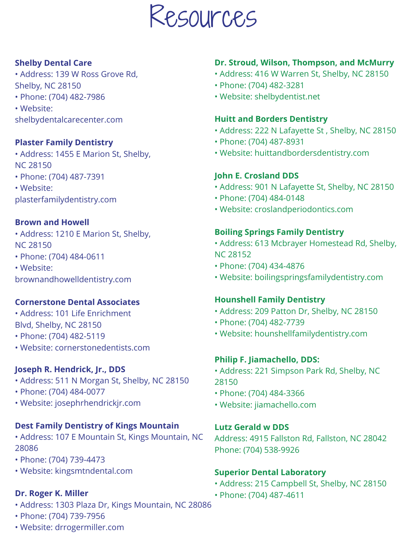

## **Shelby Dental Care**

- Address: 139 W Ross Grove Rd, Shelby, NC 28150
- Phone: (704) 482-7986
- Website:

shelbydentalcarecenter.com

# **Plaster Family Dentistry**

- Address: 1455 E Marion St, Shelby, NC 28150
- Phone: (704) 487-7391
- Website:
- plasterfamilydentistry.com

# **Brown and Howell**

- Address: 1210 E Marion St, Shelby, NC 28150
- Phone: (704) 484-0611
- Website:

brownandhowelldentistry.com

#### **Cornerstone Dental Associates**

- Address: 101 Life Enrichment Blvd, Shelby, NC 28150
- Phone: (704) 482-5119
- Website: cornerstonedentists.com

# **Dr. Stroud, Wilson, Thompson, and McMurry**

- Address: 416 W Warren St, Shelby, NC 28150
- Phone: (704) 482-3281
- Website: shelbydentist.net

# **Huitt and Borders Dentistry**

- Address: 222 N Lafayette St , Shelby, NC 28150
- Phone: (704) 487-8931
- Website: huittandbordersdentistry.com

# **John E. Crosland DDS**

- Address: 901 N Lafayette St, Shelby, NC 28150
- Phone: (704) 484-0148
- Website: croslandperiodontics.com

# **Boiling Springs Family Dentistry**

- Address: 613 Mcbrayer Homestead Rd, Shelby, NC 28152
- Phone: (704) 434-4876
- Website: boilingspringsfamilydentistry.com

## **Hounshell Family Dentistry**

- Address: 209 Patton Dr, Shelby, NC 28150
- Phone: (704) 482-7739
- Website: hounshellfamilydentistry.com

# **Joseph R. Hendrick, Jr., DDS**

- Address: 511 N Morgan St, Shelby, NC 28150
- Phone: (704) 484-0077
- Website: josephrhendrickjr.com

# **Dest Family Dentistry of Kings Mountain**

- Address: 107 E Mountain St, Kings Mountain, NC 28086
- Phone: (704) 739-4473
- Website: kingsmtndental.com

### **Dr. Roger K. Miller**

- Address: 1303 Plaza Dr, Kings Mountain, NC 28086
- Phone: (704) 739-7956
- Website: drrogermiller.com

### **Philip F. Jiamachello, DDS:**

- Address: 221 Simpson Park Rd, Shelby, NC 28150
- Phone: (704) 484-3366
- Website: jiamachello.com

## **Lutz Gerald w DDS**

Address: 4915 Fallston Rd, Fallston, NC 28042 Phone: (704) 538-9926

### **Superior Dental Laboratory**

- Address: 215 Campbell St, Shelby, NC 28150
- Phone: (704) 487-4611